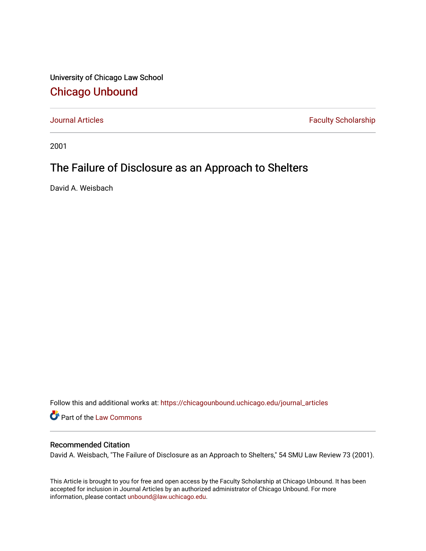University of Chicago Law School [Chicago Unbound](https://chicagounbound.uchicago.edu/)

[Journal Articles](https://chicagounbound.uchicago.edu/journal_articles) **Faculty Scholarship Faculty Scholarship** 

2001

## The Failure of Disclosure as an Approach to Shelters

David A. Weisbach

Follow this and additional works at: [https://chicagounbound.uchicago.edu/journal\\_articles](https://chicagounbound.uchicago.edu/journal_articles?utm_source=chicagounbound.uchicago.edu%2Fjournal_articles%2F2028&utm_medium=PDF&utm_campaign=PDFCoverPages) 

Part of the [Law Commons](http://network.bepress.com/hgg/discipline/578?utm_source=chicagounbound.uchicago.edu%2Fjournal_articles%2F2028&utm_medium=PDF&utm_campaign=PDFCoverPages)

### Recommended Citation

David A. Weisbach, "The Failure of Disclosure as an Approach to Shelters," 54 SMU Law Review 73 (2001).

This Article is brought to you for free and open access by the Faculty Scholarship at Chicago Unbound. It has been accepted for inclusion in Journal Articles by an authorized administrator of Chicago Unbound. For more information, please contact [unbound@law.uchicago.edu](mailto:unbound@law.uchicago.edu).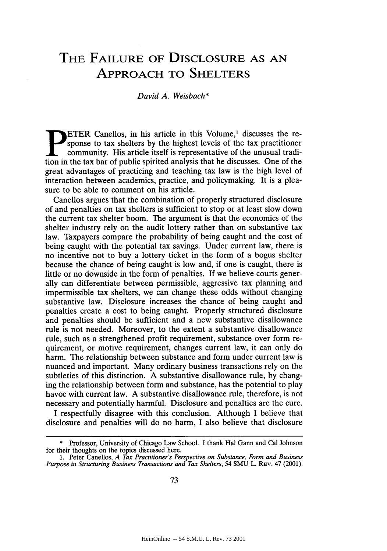# **THE FAILURE OF DISCLOSURE AS AN** APPROACH TO SHELTERS

#### *David A. Weisbach\**

ETER Canellos, in his article in this Volume,' discusses the response to tax shelters by the highest levels of the tax practitioner community. His article itself is representative of the unusual tradition in the tax bar of public spirited analysis that he discusses. One of the great advantages of practicing and teaching tax law is the high level of interaction between academics, practice, and policymaking. It is a pleasure to be able to comment on his article.

Canellos argues that the combination of properly structured disclosure of and penalties on tax shelters is sufficient to stop or at least slow down the current tax shelter boom. The argument is that the economics of the shelter industry rely on the audit lottery rather than on substantive tax law. Taxpayers compare the probability of being caught and the cost of being caught with the potential tax savings. Under current law, there is no incentive not to buy a lottery ticket in the form of a bogus shelter because the chance of being caught is low and, if one is caught, there is little or no downside in the form of penalties. If we believe courts generally can differentiate between permissible, aggressive tax planning and impermissible tax shelters, we can change these odds without changing substantive law. Disclosure increases the chance of being caught and penalties create a-cost to being caught. Properly structured disclosure and penalties should be sufficient and a new substantive disallowance rule is not needed. Moreover, to the extent a substantive disallowance rule, such as a strengthened profit requirement, substance over form requirement, or motive requirement, changes current law, it can only do harm. The relationship between substance and form under current law is nuanced and important. Many ordinary business transactions rely on the subtleties of this distinction. A substantive disallowance rule, by changing the relationship between form and substance, has the potential to play havoc with current law. A substantive disallowance rule, therefore, is not necessary and potentially harmful. Disclosure and penalties are the cure.

I respectfully disagree with this conclusion. Although I believe that disclosure and penalties will do no harm, I also believe that disclosure

**<sup>\*</sup>** Professor, University of Chicago Law School. I thank Hal Gann and Cal Johnson for their thoughts on the topics discussed here.

<sup>1.</sup> Peter Canellos, *A Tax Practitioner's Perspective on Substance, Form and Business Purpose in Structuring Business Transactions and Tax Shelters,* 54 SMU L. REV. 47 (2001).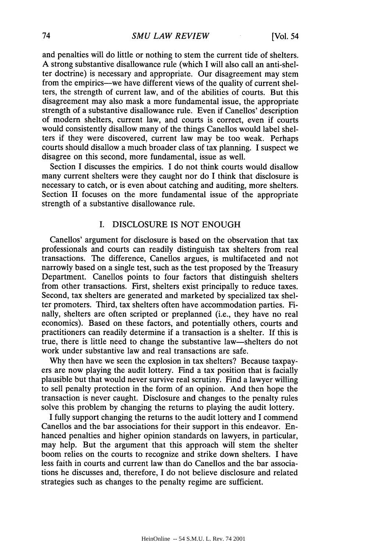and penalties will do little or nothing to stem the current tide of shelters. A strong substantive disallowance rule (which I will also call an anti-shelter doctrine) is necessary and appropriate. Our disagreement may stem from the empirics--we have different views of the quality of current shelters, the strength of current law, and of the abilities of courts. But this disagreement may also mask a more fundamental issue, the appropriate strength of a substantive disallowance rule. Even if Canellos' description of modern shelters, current law, and courts is correct, even if courts would consistently disallow many of the things Canellos would label shelters if they were discovered, current law may be too weak. Perhaps courts should disallow a much broader class of tax planning. I suspect we disagree on this second, more fundamental, issue as well.

Section I discusses the empirics. I do not think courts would disallow many current shelters were they caught nor do I think that disclosure is necessary to catch, or is even about catching and auditing, more shelters. Section II focuses on the more fundamental issue of the appropriate strength of a substantive disallowance rule.

#### I. DISCLOSURE IS NOT ENOUGH

Canellos' argument for disclosure is based on the observation that tax professionals and courts can readily distinguish tax shelters from real transactions. The difference, Canellos argues, is multifaceted and not narrowly based on a single test, such as the test proposed by the Treasury Department. Canellos points to four factors that distinguish shelters from other transactions. First, shelters exist principally to reduce taxes. Second, tax shelters are generated and marketed by specialized tax shelter promoters. Third, tax shelters often have accommodation parties. Finally, shelters are often scripted or preplanned (i.e., they have no real economics). Based on these factors, and potentially others, courts and practitioners can readily determine if a transaction is a shelter. If this is true, there is little need to change the substantive law-shelters do not work under substantive law and real transactions are safe.

Why then have we seen the explosion in tax shelters? Because taxpayers are now playing the audit lottery. Find a tax position that is facially plausible but that would never survive real scrutiny. Find a lawyer willing to sell penalty protection in the form of an opinion. And then hope the transaction is never caught. Disclosure and changes to the penalty rules solve this problem by changing the returns to playing the audit lottery.

I fully support changing the returns to the audit lottery and I commend Canellos and the bar associations for their support in this endeavor. Enhanced penalties and higher opinion standards on lawyers, in particular, may help. But the argument that this approach will stem the shelter boom relies on the courts to recognize and strike down shelters. I have less faith in courts and current law than do Canellos and the bar associations he discusses and, therefore, I do not believe disclosure and related strategies such as changes to the penalty regime are sufficient.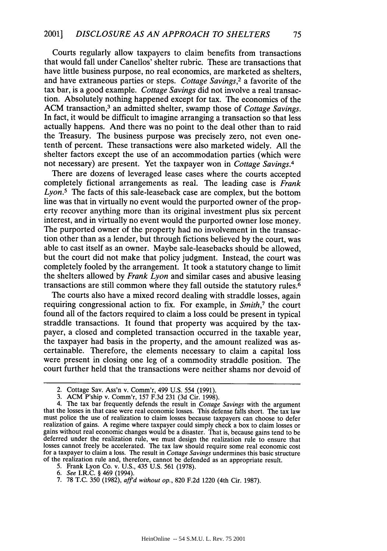Courts regularly allow taxpayers to claim benefits from transactions that would fall under Canellos' shelter rubric. These are transactions that have little business purpose, no real economics, are marketed as shelters, and have extraneous parties or steps. *Cottage Savings,2* a favorite of the tax bar, is a good example. *Cottage Savings* did not involve a real transaction. Absolutely nothing happened except for tax. The economics of the ACM transaction,<sup>3</sup> an admitted shelter, swamp those of *Cottage Savings*. In fact, it would be difficult to imagine arranging a transaction so that less actually happens. And there was no point to the deal other than to raid the Treasury. The business purpose was precisely zero, not even onetenth of percent. These transactions were also marketed widely. All the shelter factors except the use of an accommodation parties (which were not necessary) are present. Yet the taxpayer won in *Cottage Savings.4*

There are dozens of leveraged lease cases where the courts accepted completely fictional arrangements as real. The leading case is *Frank Lyon.<sup>5</sup>*The facts of this sale-leaseback case are complex, but the bottom line was that in virtually no event would the purported owner of the property recover anything more than its original investment plus six percent interest, and in virtually no event would the purported owner lose money. The purported owner of the property had no involvement in the transaction other than as a lender, but through fictions believed by the court, was able to cast itself as an owner. Maybe sale-leasebacks should be allowed, but the court did not make that policy judgment. Instead, the court was completely fooled by the arrangement. It took a statutory change to limit the shelters allowed by *Frank Lyon* and similar cases and abusive leasing transactions are still common where they fall outside the statutory rules. <sup>6</sup>

The courts also have a mixed record dealing with straddle losses, again requiring congressional action to fix. For example, in *Smith,7* the court found all of the factors required to claim a loss could be present in typical straddle transactions. It found that property was acquired by the taxpayer, a closed and completed transaction occurred in the taxable year, the taxpayer had basis in the property, and the amount realized was ascertainable. Therefore, the elements necessary to claim a capital loss were present in closing one leg of a commodity straddle position. The court further held that the transactions were neither shams nor devoid of

<sup>2.</sup> Cottage Sav. Ass'n v. Comm'r, 499 U.S. 554 (1991).

<sup>3.</sup> ACM P'ship v. Comm'r, 157 F.3d 231 (3d Cir. 1998).

<sup>4.</sup> The tax bar frequently defends the result in *Cottage Savings* with the argument that the losses in that case were real economic losses. This defense falls short. The tax law must police the use of realization to claim losses because taxpayers can choose to defer realization of gains. A regime where taxpayer could simply check a box to claim losses or gains without real economic changes would be a disaster. That is, because gains tend to be deferred under the realization rule, we must design the realization rule to ensure that losses cannot freely be accelerated. The tax law should require some real economic cost for a taxpayer to claim a loss. The result in *Cottage Savings* undermines this basic structure of the realization rule and, therefore, cannot be defended as an appropriate result.

<sup>5.</sup> Frank Lyon Co. v. U.S., 435 U.S. 561 (1978).

*<sup>6.</sup> See* I.R.C. § 469 (1994).

<sup>7. 78</sup> T.C. 350 (1982), *aff'd without op.,* 820 F.2d 1220 (4th Cir. 1987).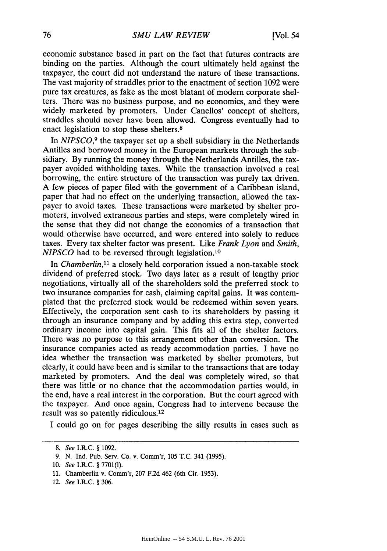economic substance based in part on the fact that futures contracts are binding on the parties. Although the court ultimately held against the taxpayer, the court did not understand the nature of these transactions. The vast majority of straddles prior to the enactment of section 1092 were pure tax creatures, as fake as the most blatant of modem corporate shelters. There was no business purpose, and no economics, and they were widely marketed by promoters. Under Canellos' concept of shelters, straddles should never have been allowed. Congress eventually had to enact legislation to stop these shelters.<sup>8</sup>

In *NIPSCO,9* the taxpayer set up a shell subsidiary in the Netherlands Antilles and borrowed money in the European markets through the subsidiary. By running the money through the Netherlands Antilles, the taxpayer avoided withholding taxes. While the transaction involved a real borrowing, the entire structure of the transaction was purely tax driven. A few pieces of paper filed with the government of a Caribbean island, paper that had no effect on the underlying transaction, allowed the taxpayer to avoid taxes. These transactions were marketed by shelter promoters, involved extraneous parties and steps, were completely wired in the sense that they did not change the economics of a transaction that would otherwise have occurred, and were entered into solely to reduce taxes. Every tax shelter factor was present. Like *Frank Lyon* and *Smith, NIPSCO* had to be reversed through legislation.<sup>10</sup>

In *Chamberlin*,<sup>11</sup> a closely held corporation issued a non-taxable stock dividend of preferred stock. Two days later as a result of lengthy prior negotiations, virtually all of the shareholders sold the preferred stock to two insurance companies for cash, claiming capital gains. It was contemplated that the preferred stock would be redeemed within seven years. Effectively, the corporation sent cash to its shareholders by passing it through an insurance company and by adding this extra step, converted ordinary income into capital gain. This fits all of the shelter factors. There was no purpose to this arrangement other than conversion. The insurance companies acted as ready accommodation parties. I have no idea whether the transaction was marketed by shelter promoters, but clearly, it could have been and is similar to the transactions that are today marketed by promoters. And the deal was completely wired, so that there was little or no chance that the accommodation parties would, in the end, have a real interest in the corporation. But the court agreed with the taxpayer. And once again, Congress had to intervene because the result was so patently ridiculous. <sup>12</sup>

I could go on for pages describing the silly results in cases such as

*<sup>8.</sup>* See I.R.C. § 1092.

<sup>9.</sup> N. Ind. Pub. Serv. Co. v. Comm'r, 105 T.C. 341 (1995).

<sup>10.</sup> See I.R.C. § 7701(1).

<sup>11.</sup> Chamberlin v. Comm'r, 207 F.2d 462 (6th Cir. 1953).

<sup>12.</sup> See I.R.C. § 306.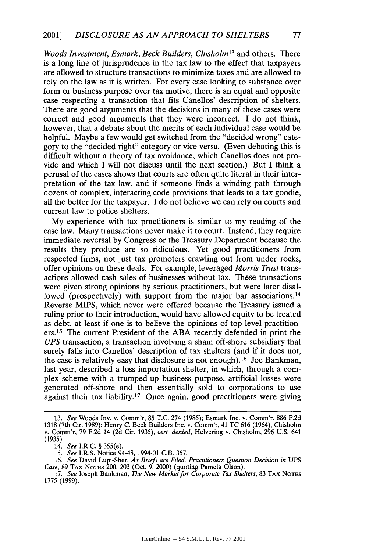*Woods Investment, Esmark, Beck Builders, Chisholm13* and others. There is a long line of jurisprudence in the tax law to the effect that taxpayers are allowed to structure transactions to minimize taxes and are allowed to rely on the law as it is written. For every case looking to substance over form or business purpose over tax motive, there is an equal and opposite case respecting a transaction that fits Canellos' description of shelters. There are good arguments that the decisions in many of these cases were correct and good arguments that they were incorrect. I do not think, however, that a debate about the merits of each individual case would be helpful. Maybe a few would get switched from the "decided wrong" category to the "decided right" category or vice versa. (Even debating this is difficult without a theory of tax avoidance, which Canellos does not provide and which I will not discuss until the next section.) But I think a perusal of the cases shows that courts are often quite literal in their interpretation of the tax law, and if someone finds a winding path through dozens of complex, interacting code provisions that leads to a tax goodie, all the better for the taxpayer. I do not believe we can rely on courts and current law to police shelters.

My experience with tax practitioners is similar to my reading of the case law. Many transactions never make it to court. Instead, they require immediate reversal by Congress or the Treasury Department because the results they produce are so ridiculous. Yet good practitioners from respected firms, not just tax promoters crawling out from under rocks, offer opinions on these deals. For example, leveraged *Morris Trust* transactions allowed cash sales of businesses without tax. These transactions were given strong opinions by serious practitioners, but were later disallowed (prospectively) with support from the major bar associations.<sup>14</sup> Reverse MIPS, which never were offered because the Treasury issued a ruling prior to their introduction, would have allowed equity to be treated as debt, at least if one is to believe the opinions of top level practitioners.<sup>15</sup> The current President of the ABA recently defended in print the *UPS* transaction, a transaction involving a sham off-shore subsidiary that surely falls into Canellos' description of tax shelters (and if it does not, the case is relatively easy that disclosure is not enough).<sup>16</sup> Joe Bankman, last year, described a loss importation shelter, in which, through a complex scheme with a trumped-up business purpose, artificial losses were generated off-shore and then essentially sold to corporations to use against their tax liability.17 Once again, good practitioners were giving

<sup>13.</sup> *See* Woods Inv. v. Comm'r, 85 T.C. 274 (1985); Esmark Inc. v. Comm'r, 886 F.2d 1318 (7th Cir. 1989); Henry C. Beck Builders Inc. v. Comm'r, 41 TC 616 (1964); Chisholm v. Comm'r, 79 F.2d 14 (2d Cir. 1935), *cert. denied,* Helvering v. Chisholm, 296 U.S. 641 (1935).

<sup>14.</sup> *See* I.R.C. § 355(e).

<sup>15.</sup> *See* I.R.S. Notice 94-48, 1994-01 C.B. 357.

<sup>16.</sup> *See* David Lupi-Sher, *As Briefs are Filed, Practitioners Question Decision in* UPS *Case,* 89 TAx **NoTEs** 200, 203 (Oct. 9, 2000) (quoting Pamela Olson). 17. *See* Joseph Bankman, *The New Market for Corporate Tax Shelters,* 83 **TAX NoTEs**

<sup>1775 (1999).</sup>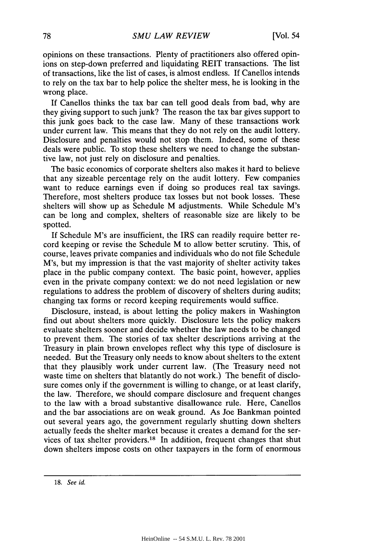opinions on these transactions. Plenty of practitioners also offered opinions on step-down preferred and liquidating REIT transactions. The list of transactions, like the list of cases, is almost endless. If Canellos intends to rely on the tax bar to help police the shelter mess, he is looking in the wrong place.

If Canellos thinks the tax bar can tell good deals from bad, why are they giving support to such junk? The reason the tax bar gives support to this junk goes back to the case law. Many of these transactions work under current law. This means that they do not rely on the audit lottery. Disclosure and penalties would not stop them. Indeed, some of these deals were public. To stop these shelters we need to change the substantive law, not just rely on disclosure and penalties.

The basic economics of corporate shelters also makes it hard to believe that any sizeable percentage rely on the audit lottery. Few companies want to reduce earnings even if doing so produces real tax savings. Therefore, most shelters produce tax losses but not book losses. These shelters will show up as Schedule M adjustments. While Schedule M's can be long and complex, shelters of reasonable size are likely to be spotted.

If Schedule M's are insufficient, the IRS can readily require better record keeping or revise the Schedule M to allow better scrutiny. This, of course, leaves private companies and individuals who do not file Schedule M's, but my impression is that the vast majority of shelter activity takes place in the public company context. The basic point, however, applies even in the private company context: we do not need legislation or new regulations to address the problem of discovery of shelters during audits; changing tax forms or record keeping requirements would suffice.

Disclosure, instead, is about letting the policy makers in Washington find out about shelters more quickly. Disclosure lets the policy makers evaluate shelters sooner and decide whether the law needs to be changed to prevent them. The stories of tax shelter descriptions arriving at the Treasury in plain brown envelopes reflect why this type of disclosure is needed. But the Treasury only needs to know about shelters to the extent that they plausibly work under current law. (The Treasury need not waste time on shelters that blatantly do not work.) The benefit of disclosure comes only if the government is willing to change, or at least clarify, the law. Therefore, we should compare disclosure and frequent changes to the law with a broad substantive disallowance rule. Here, Canellos and the bar associations are on weak ground. As Joe Bankman pointed out several years ago, the government regularly shutting down shelters actually feeds the shelter market because it creates a demand for the services of tax shelter providers. 18 In addition, frequent changes that shut down shelters impose costs on other taxpayers in the form of enormous

**<sup>18.</sup>** *See id.*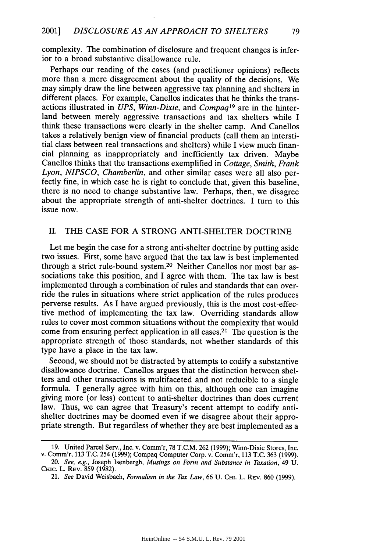complexity. The combination of disclosure and frequent changes is inferior to a broad substantive disallowance rule.

Perhaps our reading of the cases (and practitioner opinions) reflects more than a mere disagreement about the quality of the decisions. We may simply draw the line between aggressive tax planning and shelters in different places. For example, Canellos indicates that he thinks the transactions illustrated in *UPS, Winn-Dixie,* and *Compaq19* are in the hinterland between merely aggressive transactions and tax shelters while I think these transactions were clearly in the shelter camp. And Canellos takes a relatively benign view of financial products (call them an interstitial class between real transactions and shelters) while I view much financial planning as inappropriately and inefficiently tax driven. Maybe Canellos thinks that the transactions exemplified in *Cottage, Smith, Frank Lyon, NIPSCO, Chamberlin,* and other similar cases were all also perfectly fine, in which case he is right to conclude that, given this baseline, there is no need to change substantive law. Perhaps, then, we disagree about the appropriate strength of anti-shelter doctrines. I turn to this issue now.

#### II. THE CASE FOR A STRONG ANTI-SHELTER DOCTRINE

Let me begin the case for a strong anti-shelter doctrine by putting aside two issues. First, some have argued that the tax law is best implemented through a strict rule-bound system.20 Neither Canellos nor most bar associations take this position, and I agree with them. The tax law is best implemented through a combination of rules and standards that can override the rules in situations where strict application of the rules produces perverse results. As I have argued previously, this is the most cost-effective method of implementing the tax law. Overriding standards allow rules to cover most common situations without the complexity that would come from ensuring perfect application in all cases.21 The question is the appropriate strength of those standards, not whether standards of this type have a place in the tax law.

Second, we should not be distracted by attempts to codify a substantive disallowance doctrine. Canellos argues that the distinction between shelters and other transactions is multifaceted and not reducible to a single formula. I generally agree with him on this, although one can imagine giving more (or less) content to anti-shelter doctrines than does current law. Thus, we can agree that Treasury's recent attempt to codify antishelter doctrines may be doomed even if we disagree about their appropriate strength. But regardless of whether they are best implemented as a

**<sup>19.</sup>** United Parcel Serv., Inc. v. Comm'r, 78 T.C.M. 262 (1999); Winn-Dixie Stores, Inc. v. Comm'r, **113** T.C. 254 (1999); Compaq Computer Corp. v. Comm'r, **113** T.C. 363 (1999).

<sup>20.</sup> *See, e.g.,* Joseph Isenbergh, *Musings on Form and Substance in Taxation,* 49 U. CHic. L. REV. 859 (1982).

<sup>21.</sup> *See* David Weisbach, *Formalism in the Tax Law,* 66 U. CHI. L. REV. 860 (1999).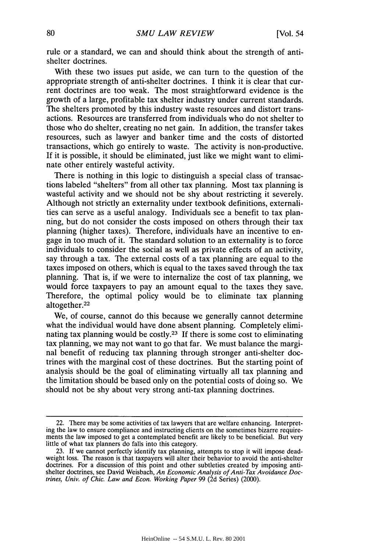rule or a standard, we can and should think about the strength of antishelter doctrines.

With these two issues put aside, we can turn to the question of the appropriate strength of anti-shelter doctrines. I think it is clear that current doctrines are too weak. The most straightforward evidence is the growth of a large, profitable tax shelter industry under current standards. The shelters promoted by this industry waste resources and distort transactions. Resources are transferred from individuals who do not shelter to those who do shelter, creating no net gain. In addition, the transfer takes resources, such as lawyer and banker time and the costs of distorted transactions, which go entirely to waste. The activity is non-productive. If it is possible, it should be eliminated, just like we might want to eliminate other entirely wasteful activity.

There is nothing in this logic to distinguish a special class of transactions labeled "shelters" from all other tax planning. Most tax planning is wasteful activity and we should not be shy about restricting it severely. Although not strictly an externality under textbook definitions, externalities can serve as a useful analogy. Individuals see a benefit to tax planning, but do not consider the costs imposed on others through their tax planning (higher taxes). Therefore, individuals have an incentive to engage in too much of it. The standard solution to an externality is to force individuals to consider the social as well as private effects of an activity, say through a tax. The external costs of a tax planning are equal to the taxes imposed on others, which is equal to the taxes saved through the tax planning. That is, if we were to internalize the cost of tax planning, we would force taxpayers to pay an amount equal to the taxes they save. Therefore, the optimal policy would be to eliminate tax planning altogether.<sup>22</sup>

We, of course, cannot do this because we generally cannot determine what the individual would have done absent planning. Completely eliminating tax planning would be costly.<sup>23</sup> If there is some cost to eliminating tax planning, we may not want to go that far. We must balance the marginal benefit of reducing tax planning through stronger anti-shelter doctrines with the marginal cost of these doctrines. But the starting point of analysis should be the goal of eliminating virtually all tax planning and the limitation should be based only on the potential costs of doing so. We should not be shy about very strong anti-tax planning doctrines.

<sup>22.</sup> There may be some activities of tax lawyers that are welfare enhancing. Interpreting the law to ensure compliance and instructing clients on the sometimes bizarre requirements the law imposed to get a contemplated benefit are likely to be beneficial. But very little of what tax planners do falls into this category.

<sup>23.</sup> If we cannot perfectly identify tax planning, attempts to stop it will impose deadweight loss. The reason is that taxpayers will alter their behavior to avoid the anti-shelter doctrines. For a discussion of this point and other subtleties created by imposing antishelter doctrines, see David Weisbach, *An Economic Analysis of Anti-Tax Avoidance Doctrines, Univ. of Chic. Law and Econ. Working Paper* 99 (2d Series) (2000).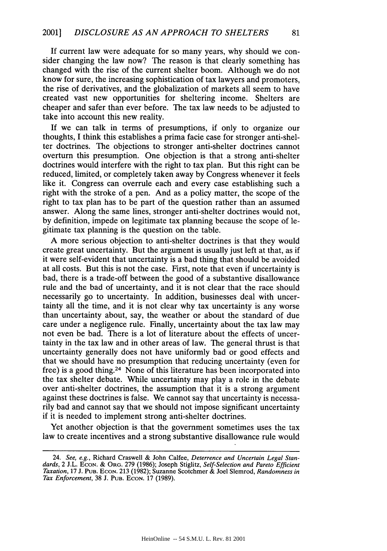If current law were adequate for so many years, why should we consider changing the law now? The reason is that clearly something has changed with the rise of the current shelter boom. Although we do not know for sure, the increasing sophistication of tax lawyers and promoters, the rise of derivatives, and the globalization of markets all seem to have created vast new opportunities for sheltering income. Shelters are cheaper and safer than ever before. The tax law needs to be adjusted to take into account this new reality.

If we can talk in terms of presumptions, if only to organize our thoughts, I think this establishes a prima facie case for stronger anti-shelter doctrines. The objections to stronger anti-shelter doctrines cannot overturn this presumption. One objection is that a strong anti-shelter doctrines would interfere with the right to tax plan. But this right can be reduced, limited, or completely taken away by Congress whenever it feels like it. Congress can overrule each and every case establishing such a right with the stroke of a pen. And as a policy matter, the scope of the right to tax plan has to be part of the question rather than an assumed answer. Along the same lines, stronger anti-shelter doctrines would not, by definition, impede on legitimate tax planning because the scope of legitimate tax planning is the question on the table.

A more serious objection to anti-shelter doctrines is that they would create great uncertainty. But the argument is usually just left at that, as if it were self-evident that uncertainty is a bad thing that should be avoided at all costs. But this is not the case. First, note that even if uncertainty is bad, there is a trade-off between the good of a substantive disallowance rule and the bad of uncertainty, and it is not clear that the race should necessarily go to uncertainty. In addition, businesses deal with uncertainty all the time, and it is not clear why tax uncertainty is any worse than uncertainty about, say, the weather or about the standard of due care under a negligence rule. Finally, uncertainty about the tax law may not even be bad. There is a lot of literature about the effects of uncertainty in the tax law and in other areas of law. The general thrust is that uncertainty generally does not have uniformly bad or good effects and that we should have no presumption that reducing uncertainty (even for free) is a good thing.24 None of this literature has been incorporated into the tax shelter debate. While uncertainty may play a role in the debate over anti-shelter doctrines, the assumption that it is a strong argument against these doctrines is false. We cannot say that uncertainty is necessarily bad and cannot say that we should not impose significant uncertainty if it is needed to implement strong anti-shelter doctrines.

Yet another objection is that the government sometimes uses the tax law to create incentives and a strong substantive disallowance rule would

<sup>24.</sup> *See, e.g.,* Richard Craswell & John Calfee, *Deterrence and Uncertain Legal Stan*dards, 2 J.L. ECON. & ORG. 279 (1986); Joseph Stiglitz, Self-Selection and Pareto Efficient *Taxation,* 17 J. PuB. **ECON. 213** (1982); Suzanne Scotchmer **&** Joel Slemrod, *Randomness in Tax Enforcement,* 38 J. **PUB. ECON. 17** (1989).